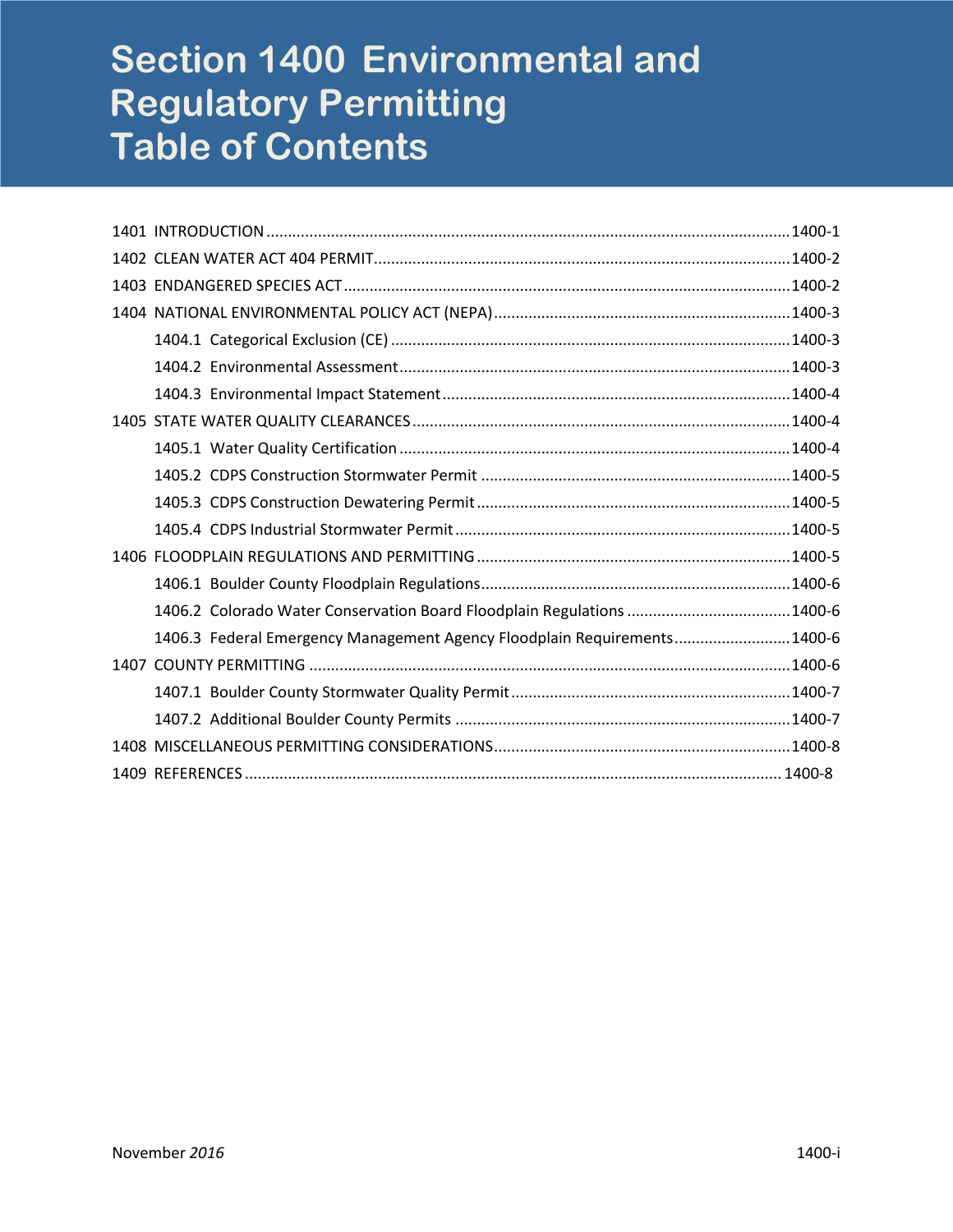# **Section 1400 Environmental and Regulatory Permitting Table of Contents**

| 1406.2 Colorado Water Conservation Board Floodplain Regulations  1400-6  |  |
|--------------------------------------------------------------------------|--|
| 1406.3 Federal Emergency Management Agency Floodplain Requirements1400-6 |  |
|                                                                          |  |
|                                                                          |  |
|                                                                          |  |
|                                                                          |  |
|                                                                          |  |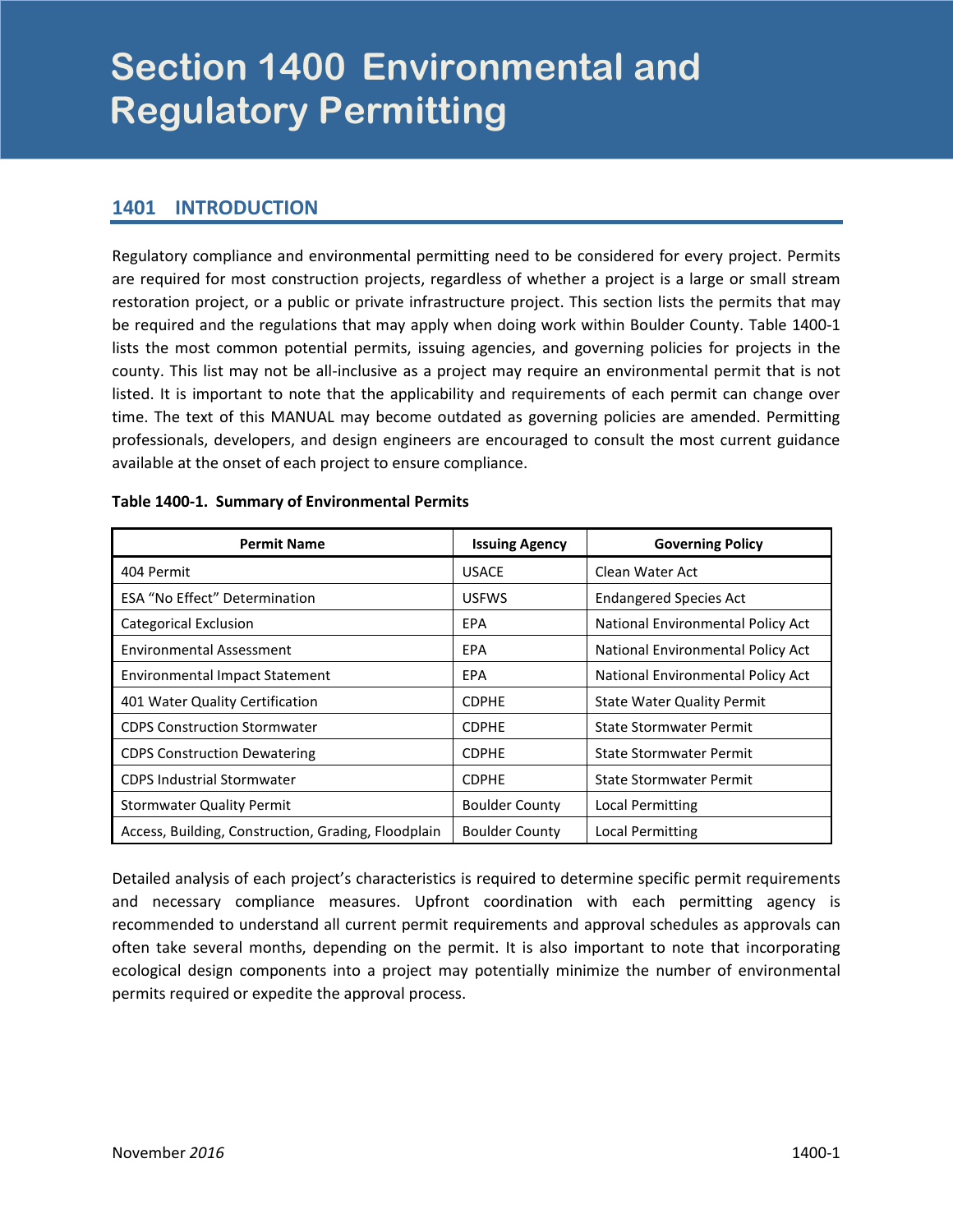# <span id="page-2-0"></span>**Section 1400 Environmental and 1400 Regulatory Permitting**

## **1401 INTRODUCTION**

Regulatory compliance and environmental permitting need to be considered for every project. Permits are required for most construction projects, regardless of whether a project is a large or small stream restoration project, or a public or private infrastructure project. This section lists the permits that may be required and the regulations that may apply when doing work within Boulder County. Table 1400-1 lists the most common potential permits, issuing agencies, and governing policies for projects in the county. This list may not be all-inclusive as a project may require an environmental permit that is not listed. It is important to note that the applicability and requirements of each permit can change over time. The text of this MANUAL may become outdated as governing policies are amended. Permitting professionals, developers, and design engineers are encouraged to consult the most current guidance available at the onset of each project to ensure compliance.

| <b>Permit Name</b>                                  | <b>Issuing Agency</b> | <b>Governing Policy</b>           |
|-----------------------------------------------------|-----------------------|-----------------------------------|
| 404 Permit                                          | <b>USACE</b>          | Clean Water Act                   |
| <b>ESA "No Effect" Determination</b>                | <b>USFWS</b>          | <b>Endangered Species Act</b>     |
| <b>Categorical Exclusion</b>                        | EPA                   | National Environmental Policy Act |
| <b>Environmental Assessment</b>                     | EPA                   | National Environmental Policy Act |
| <b>Environmental Impact Statement</b>               | EPA                   | National Environmental Policy Act |
| 401 Water Quality Certification                     | <b>CDPHE</b>          | <b>State Water Quality Permit</b> |
| <b>CDPS Construction Stormwater</b>                 | <b>CDPHE</b>          | State Stormwater Permit           |
| <b>CDPS Construction Dewatering</b>                 | <b>CDPHE</b>          | State Stormwater Permit           |
| <b>CDPS Industrial Stormwater</b>                   | <b>CDPHE</b>          | State Stormwater Permit           |
| <b>Stormwater Quality Permit</b>                    | <b>Boulder County</b> | Local Permitting                  |
| Access, Building, Construction, Grading, Floodplain | <b>Boulder County</b> | Local Permitting                  |

#### **Table 1400-1. Summary of Environmental Permits**

Detailed analysis of each project's characteristics is required to determine specific permit requirements and necessary compliance measures. Upfront coordination with each permitting agency is recommended to understand all current permit requirements and approval schedules as approvals can often take several months, depending on the permit. It is also important to note that incorporating ecological design components into a project may potentially minimize the number of environmental permits required or expedite the approval process.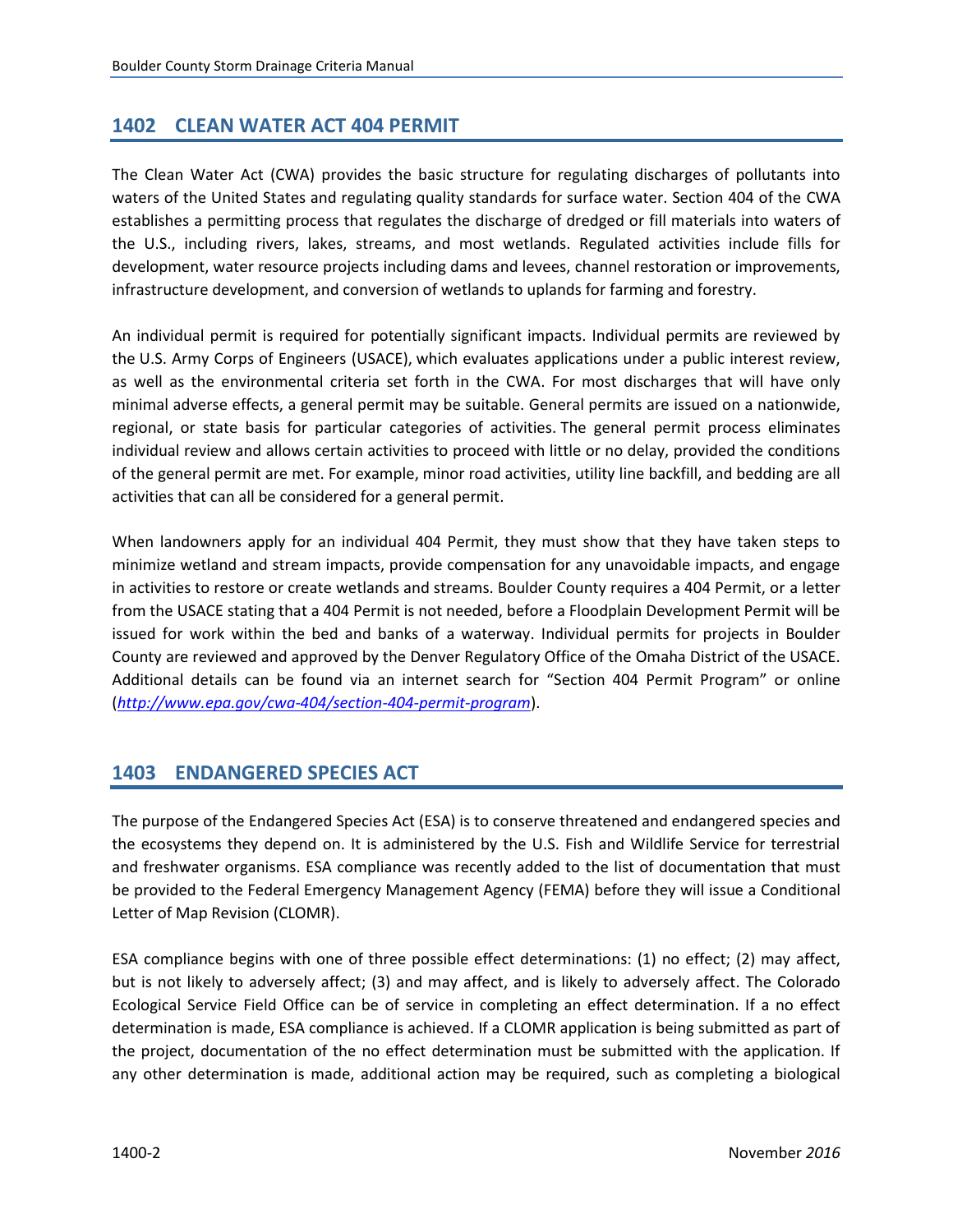# <span id="page-3-0"></span>**1402 CLEAN WATER ACT 404 PERMIT**

The Clean Water Act (CWA) provides the basic structure for regulating discharges of pollutants into waters of the United States and regulating quality standards for surface water. Section 404 of the CWA establishes a permitting process that regulates the discharge of dredged or fill materials into waters of the U.S., including rivers, lakes, streams, and most wetlands. Regulated activities include fills for development, water resource projects including dams and levees, channel restoration or improvements, infrastructure development, and conversion of wetlands to uplands for farming and forestry.

An individual permit is required for potentially significant impacts. Individual permits are reviewed by the [U.S. Army Corps of Engineers](http://www.usace.army.mil/CECW/Pages/cecwo_reg.aspx) (USACE), which evaluates applications under a public interest review, as well as the environmental criteria set forth in the CWA. For most discharges that will have only minimal adverse effects, a general permit may be suitable. General permits are issued on a [nationwide,](http://www.epa.gov/cwa-404/nationwide-permits-chronology-and-related-materials) regional, or state basis for particular categories of activities. The general permit process eliminates individual review and allows certain activities to proceed with little or no delay, provided the conditions of the general permit are met. For example, minor road activities, utility line backfill, and bedding are all activities that can all be considered for a general permit.

When landowners apply for an individual 404 Permit, they must show that they have taken steps to minimize wetland and stream impacts, provide compensation for any unavoidable impacts, and engage in activities to restore or create wetlands and streams. Boulder County requires a 404 Permit, or a letter from the USACE stating that a 404 Permit is not needed, before a Floodplain Development Permit will be issued for work within the bed and banks of a waterway. Individual permits for projects in Boulder County are reviewed and approved by the Denver Regulatory Office of the Omaha District of the USACE. Additional details can be found via an internet search for "Section 404 Permit Program" or online (*<http://www.epa.gov/cwa-404/section-404-permit-program>*).

# **1403 ENDANGERED SPECIES ACT**

The purpose of the Endangered Species Act (ESA) is to conserve threatened and endangered species and the ecosystems they depend on. It is administered by the U.S. Fish and Wildlife Service for terrestrial and freshwater organisms. ESA compliance was recently added to the list of documentation that must be provided to the Federal Emergency Management Agency (FEMA) before they will issue a Conditional Letter of Map Revision (CLOMR).

ESA compliance begins with one of three possible effect determinations: (1) no effect; (2) may affect, but is not likely to adversely affect; (3) and may affect, and is likely to adversely affect. The Colorado Ecological Service Field Office can be of service in completing an effect determination. If a no effect determination is made, ESA compliance is achieved. If a CLOMR application is being submitted as part of the project, documentation of the no effect determination must be submitted with the application. If any other determination is made, additional action may be required, such as completing a biological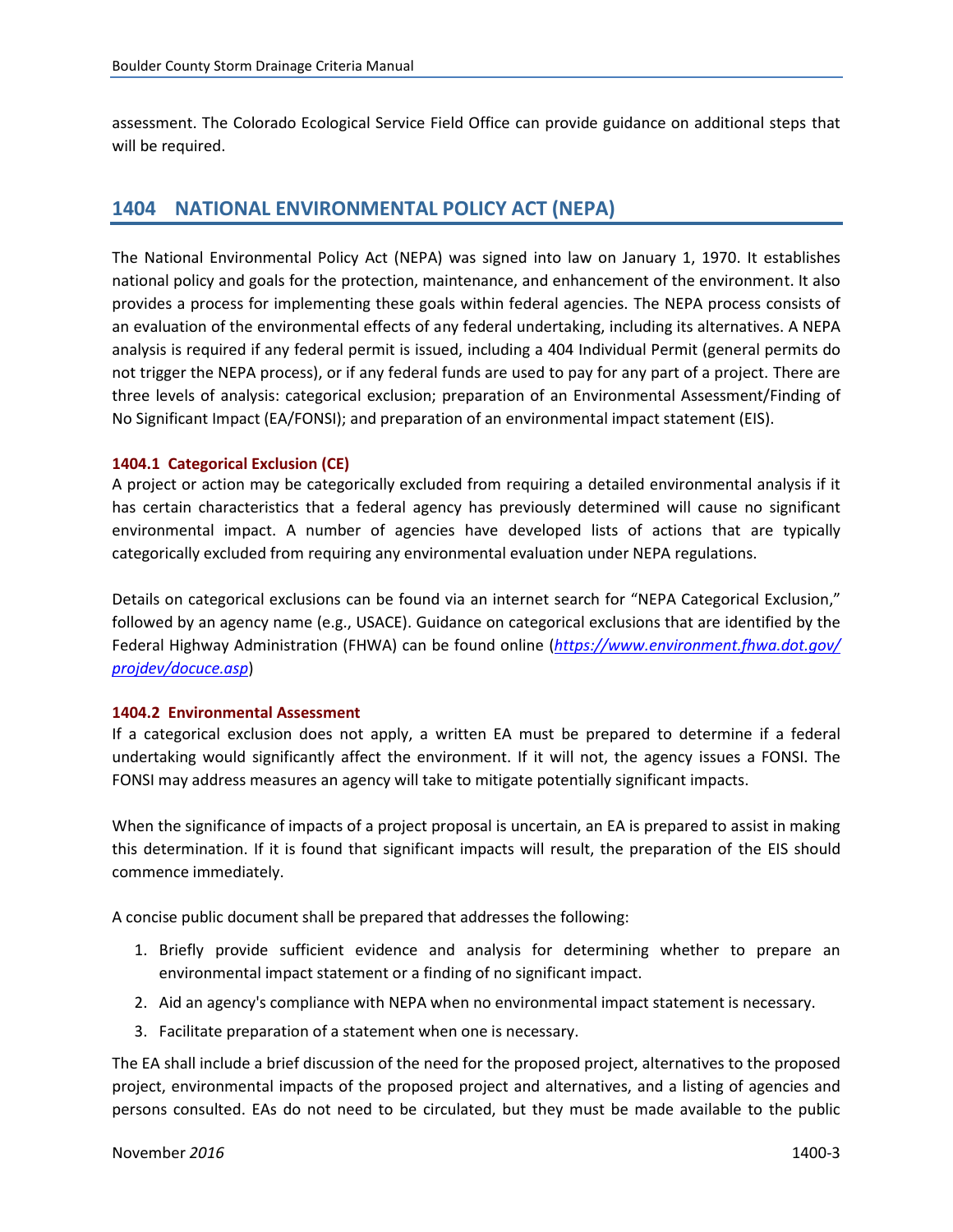<span id="page-4-0"></span>assessment. The Colorado Ecological Service Field Office can provide guidance on additional steps that will be required.

## **1404 NATIONAL ENVIRONMENTAL POLICY ACT (NEPA)**

The National Environmental Policy Act (NEPA) was signed into law on January 1, 1970. It establishes national policy and goals for the protection, maintenance, and enhancement of the environment. It also provides a process for implementing these goals within federal agencies. The NEPA process consists of an evaluation of the environmental effects of any federal undertaking, including its alternatives. A NEPA analysis is required if any federal permit is issued, including a 404 Individual Permit (general permits do not trigger the NEPA process), or if any federal funds are used to pay for any part of a project. There are three levels of analysis: categorical exclusion; preparation of an Environmental Assessment/Finding of No Significant Impact (EA/FONSI); and preparation of an environmental impact statement (EIS).

#### **1404.1 Categorical Exclusion (CE)**

A project or action may be categorically excluded from requiring a detailed environmental analysis if it has certain characteristics that a federal agency has previously determined will cause no significant environmental impact. A number of agencies have developed lists of actions that are typically categorically excluded from requiring any environmental evaluation under NEPA regulations.

Details on categorical exclusions can be found via an internet search for "NEPA Categorical Exclusion," followed by an agency name (e.g., USACE). Guidance on categorical exclusions that are identified by the Federal Highway Administration (FHWA) can be found online (*[https://www.environment.fhwa.dot.gov/](https://www.environment.fhwa.dot.gov/projdev/docuce.asp) [projdev/docuce.asp](https://www.environment.fhwa.dot.gov/projdev/docuce.asp)*)

#### **1404.2 Environmental Assessment**

If a categorical exclusion does not apply, a written EA must be prepared to determine if a federal undertaking would significantly affect the environment. If it will not, the agency issues a FONSI. The FONSI may address measures an agency will take to mitigate potentially significant impacts.

When the significance of impacts of a project proposal is uncertain, an EA is prepared to assist in making this determination. If it is found that significant impacts will result, the preparation of the EIS should commence immediately.

A concise public document shall be prepared that addresses the following:

- 1. Briefly provide sufficient evidence and analysis for determining whether to prepare an environmental impact statement or a finding of no significant impact.
- 2. Aid an agency's compliance with NEPA when no environmental impact statement is necessary.
- 3. Facilitate preparation of a statement when one is necessary.

The EA shall include a brief discussion of the need for the proposed project, alternatives to the proposed project, environmental impacts of the proposed project and alternatives, and a listing of agencies and persons consulted. EAs do not need to be circulated, but they must be made available to the public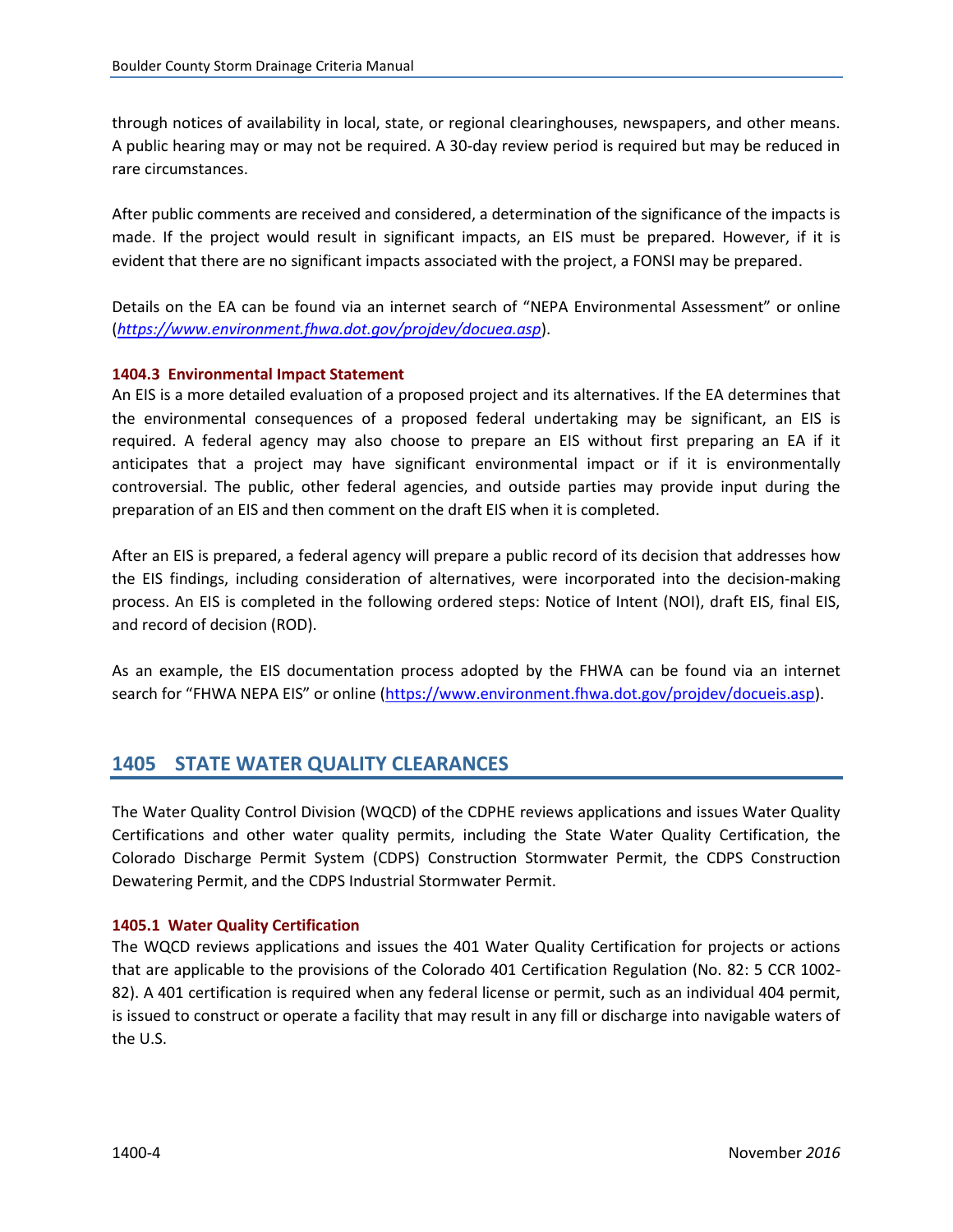<span id="page-5-0"></span>through notices of availability in local, state, or regional clearinghouses, newspapers, and other means. A public hearing may or may not be required. A 30-day review period is required but may be reduced in rare circumstances.

After public comments are received and considered, a determination of the significance of the impacts is made. If the project would result in significant impacts, an EIS must be prepared. However, if it is evident that there are no significant impacts associated with the project, a FONSI may be prepared.

Details on the EA can be found via an internet search of "NEPA Environmental Assessment" or online (*<https://www.environment.fhwa.dot.gov/projdev/docuea.asp>*).

#### **1404.3 Environmental Impact Statement**

An EIS is a more detailed evaluation of a proposed project and its alternatives. If the EA determines that the environmental consequences of a proposed federal undertaking may be significant, an EIS is required. A federal agency may also choose to prepare an EIS without first preparing an EA if it anticipates that a project may have significant environmental impact or if it is environmentally controversial. The public, other federal agencies, and outside parties may provide input during the preparation of an EIS and then comment on the draft EIS when it is completed.

After an EIS is prepared, a federal agency will prepare a public record of its decision that addresses how the EIS findings, including consideration of alternatives, were incorporated into the decision-making process. An EIS is completed in the following ordered steps: Notice of Intent (NOI), draft EIS, final EIS, and record of decision (ROD).

As an example, the EIS documentation process adopted by the FHWA can be found via an internet search for "FHWA NEPA EIS" or online ([https://www.environment.fhwa.dot.gov/projdev/docueis.asp\)](https://www.environment.fhwa.dot.gov/projdev/docueis.asp).

## **1405 STATE WATER QUALITY CLEARANCES**

The Water Quality Control Division (WQCD) of the CDPHE reviews applications and issues Water Quality Certifications and other water quality permits, including the State Water Quality Certification, the Colorado Discharge Permit System (CDPS) Construction Stormwater Permit, the CDPS Construction Dewatering Permit, and the CDPS Industrial Stormwater Permit.

#### **1405.1 Water Quality Certification**

The WQCD reviews applications and issues the 401 Water Quality Certification for projects or actions that are applicable to the provisions of the Colorado 401 Certification Regulation (No. 82: 5 CCR 1002- 82). A 401 certification is required when any federal license or permit, such as an individual 404 permit, is issued to construct or operate a facility that may result in any fill or discharge into navigable waters of the U.S.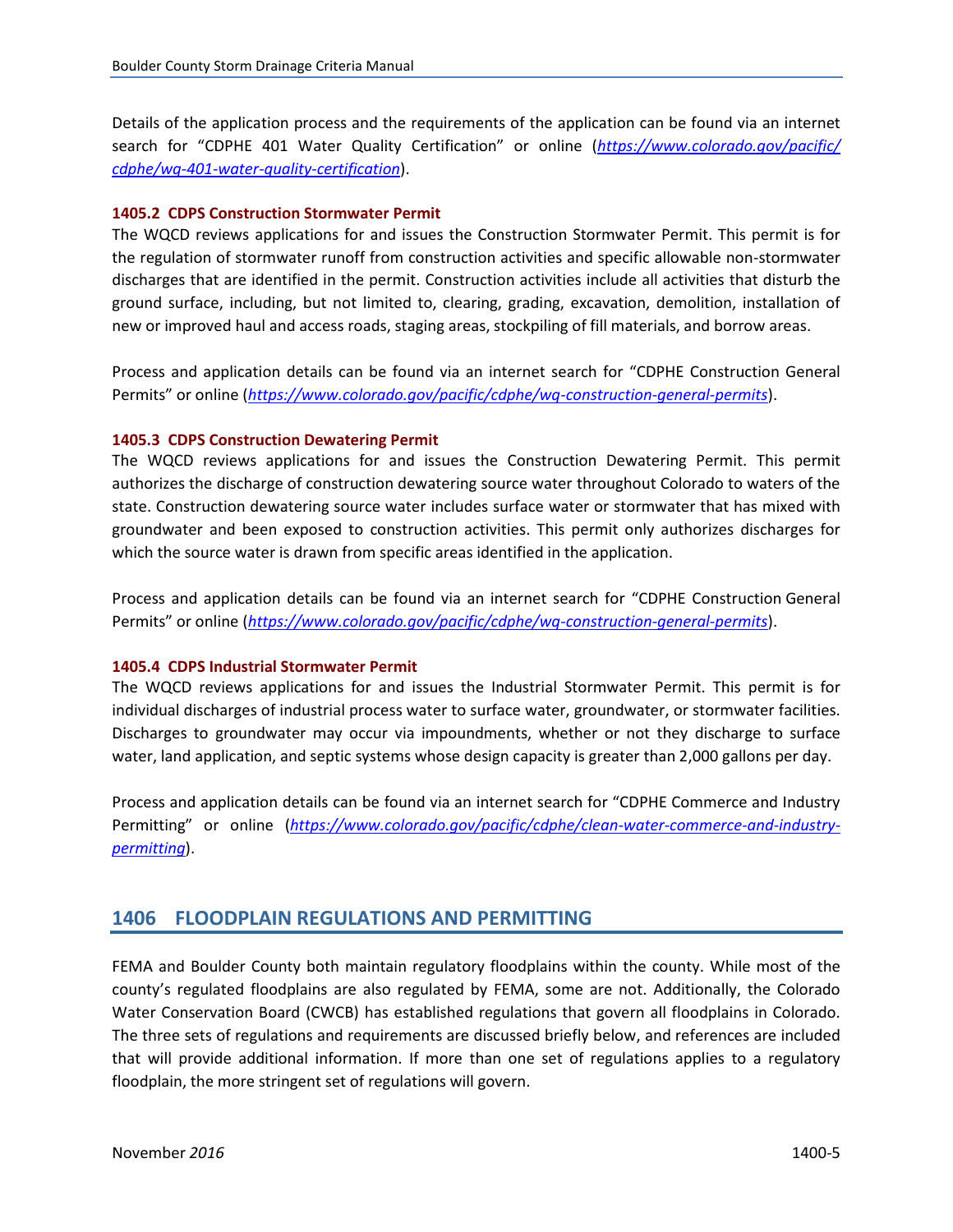<span id="page-6-0"></span>Details of the application process and the requirements of the application can be found via an internet search for "CDPHE 401 Water Quality Certification" or online (*[https://www.colorado.gov/pacific/](https://www.colorado.gov/pacific/cdphe/wq-401-water-quality-certification) [cdphe/wq-401-water-quality-certification](https://www.colorado.gov/pacific/cdphe/wq-401-water-quality-certification)*).

#### **1405.2 CDPS Construction Stormwater Permit**

The WQCD reviews applications for and issues the Construction Stormwater Permit. This permit is for the regulation of stormwater runoff from construction activities and specific allowable non-stormwater discharges that are identified in the permit. Construction activities include all activities that disturb the ground surface, including, but not limited to, clearing, grading, excavation, demolition, installation of new or improved haul and access roads, staging areas, stockpiling of fill materials, and borrow areas.

Process and application details can be found via an internet search for "CDPHE Construction General Permits" or online (*<https://www.colorado.gov/pacific/cdphe/wq-construction-general-permits>*).

#### **1405.3 CDPS Construction Dewatering Permit**

The WQCD reviews applications for and issues the Construction Dewatering Permit. This permit authorizes the discharge of construction dewatering source water throughout Colorado to waters of the state. Construction dewatering source water includes surface water or stormwater that has mixed with groundwater and been exposed to construction activities. This permit only authorizes discharges for which the source water is drawn from specific areas identified in the application.

Process and application details can be found via an internet search for "CDPHE Construction General Permits" or online (*<https://www.colorado.gov/pacific/cdphe/wq-construction-general-permits>*).

#### **1405.4 CDPS Industrial Stormwater Permit**

The WQCD reviews applications for and issues the Industrial Stormwater Permit. This permit is for individual discharges of industrial process water to surface water, groundwater, or stormwater facilities. Discharges to groundwater may occur via impoundments, whether or not they discharge to surface water, land application, and septic systems whose design capacity is greater than 2,000 gallons per day.

Process and application details can be found via an internet search for "CDPHE Commerce and Industry Permitting" or online (*[https://www.colorado.gov/pacific/cdphe/clean-water-commerce-and-industry](https://www.colorado.gov/pacific/cdphe/clean-water-commerce-and-industry-permitting)[permitting](https://www.colorado.gov/pacific/cdphe/clean-water-commerce-and-industry-permitting)*).

### **1406 FLOODPLAIN REGULATIONS AND PERMITTING**

FEMA and Boulder County both maintain regulatory floodplains within the county. While most of the county's regulated floodplains are also regulated by FEMA, some are not. Additionally, the Colorado Water Conservation Board (CWCB) has established regulations that govern all floodplains in Colorado. The three sets of regulations and requirements are discussed briefly below, and references are included that will provide additional information. If more than one set of regulations applies to a regulatory floodplain, the more stringent set of regulations will govern.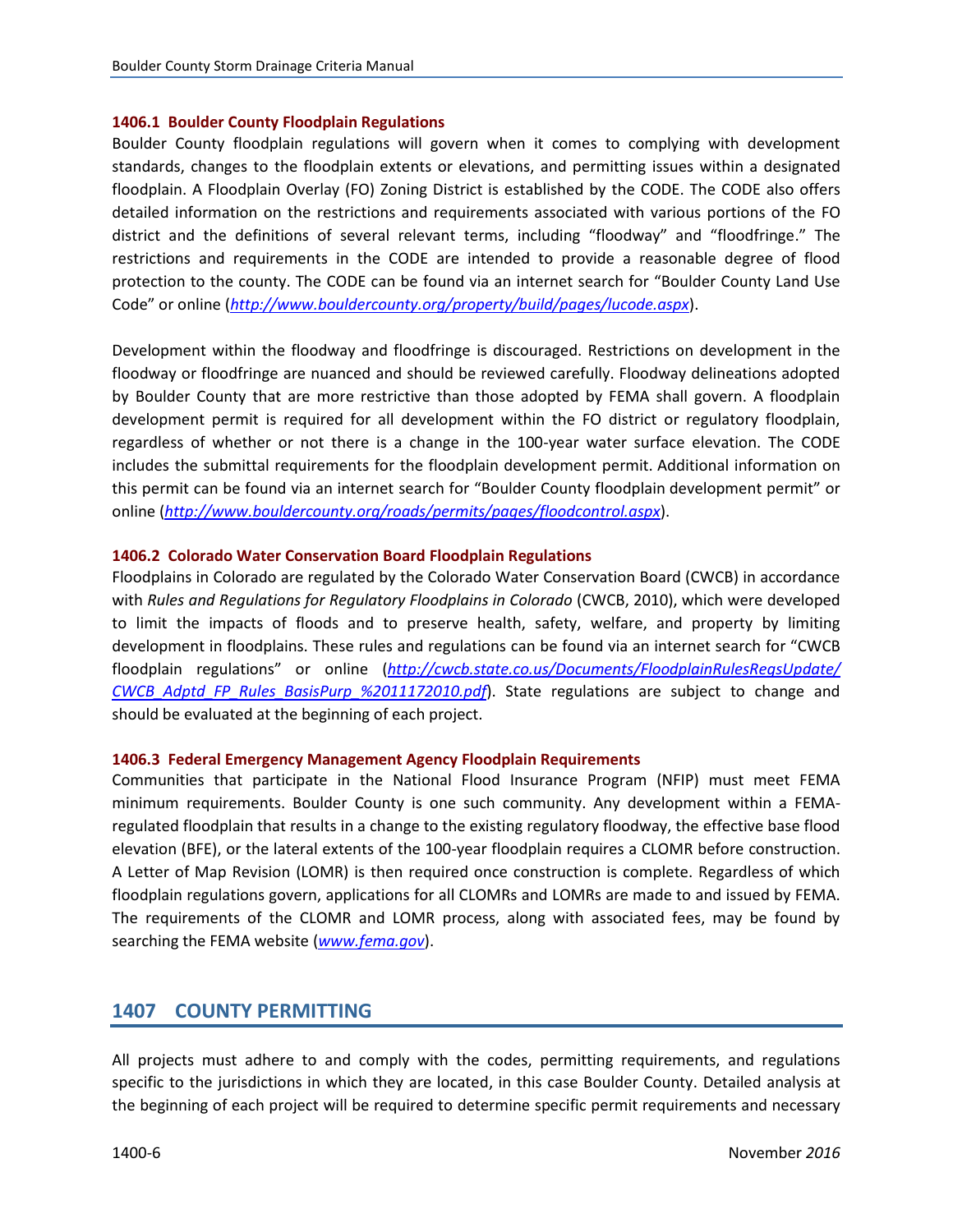#### <span id="page-7-0"></span>**1406.1 Boulder County Floodplain Regulations**

Boulder County floodplain regulations will govern when it comes to complying with development standards, changes to the floodplain extents or elevations, and permitting issues within a designated floodplain. A Floodplain Overlay (FO) Zoning District is established by the CODE. The CODE also offers detailed information on the restrictions and requirements associated with various portions of the FO district and the definitions of several relevant terms, including "floodway" and "floodfringe." The restrictions and requirements in the CODE are intended to provide a reasonable degree of flood protection to the county. The CODE can be found via an internet search for "Boulder County Land Use Code" or online (*<http://www.bouldercounty.org/property/build/pages/lucode.aspx>*).

Development within the floodway and floodfringe is discouraged. Restrictions on development in the floodway or floodfringe are nuanced and should be reviewed carefully. Floodway delineations adopted by Boulder County that are more restrictive than those adopted by FEMA shall govern. A floodplain development permit is required for all development within the FO district or regulatory floodplain, regardless of whether or not there is a change in the 100-year water surface elevation. The CODE includes the submittal requirements for the floodplain development permit. Additional information on this permit can be found via an internet search for "Boulder County floodplain development permit" or online (*<http://www.bouldercounty.org/roads/permits/pages/floodcontrol.aspx>*).

#### **1406.2 Colorado Water Conservation Board Floodplain Regulations**

Floodplains in Colorado are regulated by the Colorado Water Conservation Board (CWCB) in accordance with *Rules and Regulations for Regulatory Floodplains in Colorado* (CWCB, 2010), which were developed to limit the impacts of floods and to preserve health, safety, welfare, and property by limiting development in floodplains. These rules and regulations can be found via an internet search for "CWCB floodplain regulations" or online (*[http://cwcb.state.co.us/Documents/FloodplainRulesRegsUpdate/](http://cwcb.state.co.us/Documents/FloodplainRulesRegsUpdate/CWCB_Adptd_FP_Rules_BasisPurp_%2011172010.pdf) CWCB\_Adptd\_FP\_Rules\_BasisPurp\_%2011172010.pdf*). State regulations are subject to change and should be evaluated at the beginning of each project.

#### **1406.3 Federal Emergency Management Agency Floodplain Requirements**

Communities that participate in the National Flood Insurance Program (NFIP) must meet FEMA minimum requirements. Boulder County is one such community. Any development within a FEMAregulated floodplain that results in a change to the existing regulatory floodway, the effective base flood elevation (BFE), or the lateral extents of the 100-year floodplain requires a CLOMR before construction. A Letter of Map Revision (LOMR) is then required once construction is complete. Regardless of which floodplain regulations govern, applications for all CLOMRs and LOMRs are made to and issued by FEMA. The requirements of the CLOMR and LOMR process, along with associated fees, may be found by searching the FEMA website (*[www.fema.gov](http://www.fema.gov/)*).

## **1407 COUNTY PERMITTING**

All projects must adhere to and comply with the codes, permitting requirements, and regulations specific to the jurisdictions in which they are located, in this case Boulder County. Detailed analysis at the beginning of each project will be required to determine specific permit requirements and necessary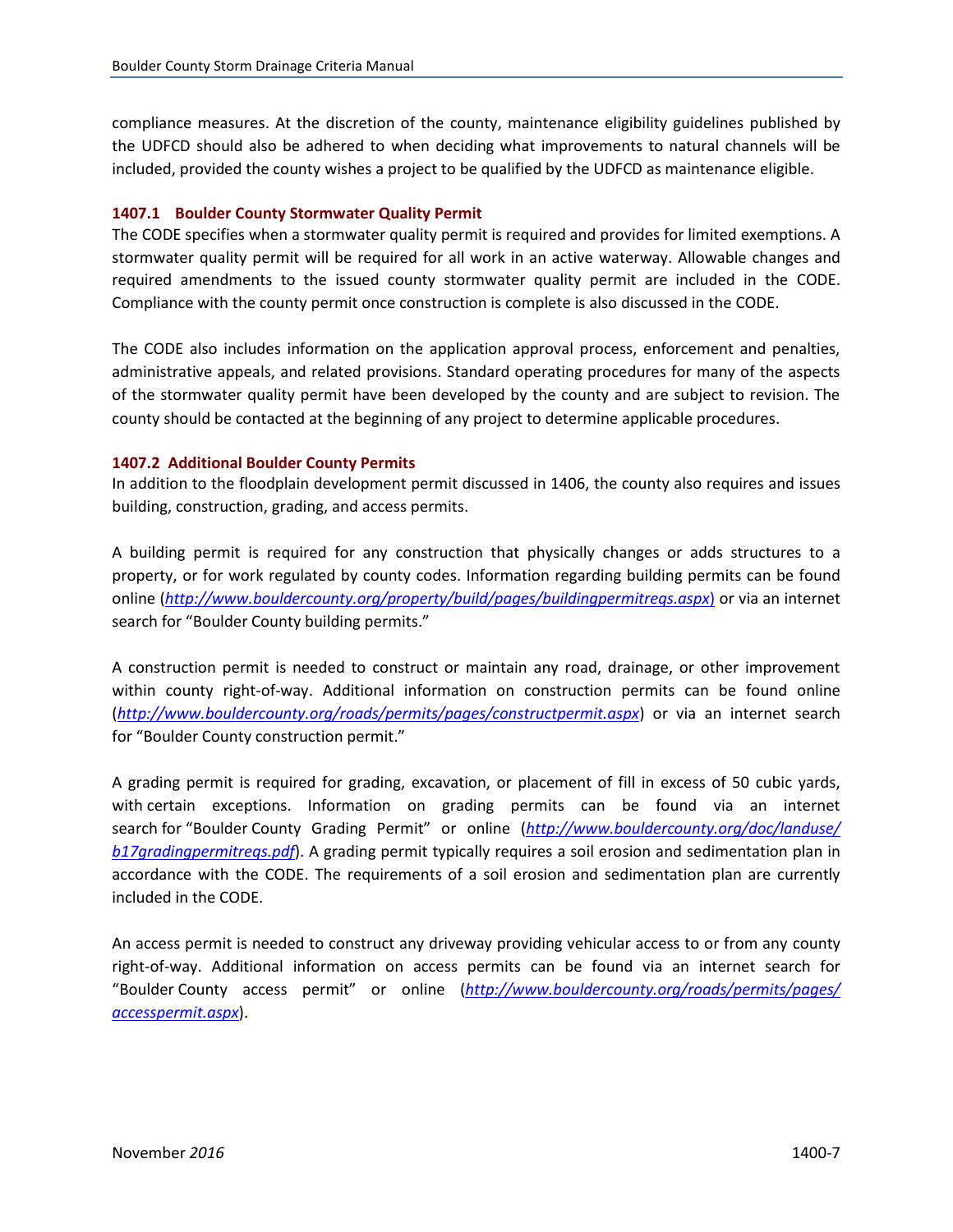<span id="page-8-0"></span>compliance measures. At the discretion of the county, maintenance eligibility guidelines published by the UDFCD should also be adhered to when deciding what improvements to natural channels will be included, provided the county wishes a project to be qualified by the UDFCD as maintenance eligible.

#### **1407.1 Boulder County Stormwater Quality Permit**

The CODE specifies when a stormwater quality permit is required and provides for limited exemptions. A stormwater quality permit will be required for all work in an active waterway. Allowable changes and required amendments to the issued county stormwater quality permit are included in the CODE. Compliance with the county permit once construction is complete is also discussed in the CODE.

The CODE also includes information on the application approval process, enforcement and penalties, administrative appeals, and related provisions. Standard operating procedures for many of the aspects of the stormwater quality permit have been developed by the county and are subject to revision. The county should be contacted at the beginning of any project to determine applicable procedures.

#### **1407.2 Additional Boulder County Permits**

In addition to the floodplain development permit discussed in 1406, the county also requires and issues building, construction, grading, and access permits.

A building permit is required for any construction that physically changes or adds structures to a property, or for work regulated by county codes. Information regarding building permits can be found online (*<http://www.bouldercounty.org/property/build/pages/buildingpermitreqs.aspx>*) or via an internet search for "Boulder County building permits."

A construction permit is needed to construct or maintain any road, drainage, or other improvement within county right-of-way. Additional information on construction permits can be found online (*<http://www.bouldercounty.org/roads/permits/pages/constructpermit.aspx>*) or via an internet search for "Boulder County construction permit."

A grading permit is required for grading, excavation, or placement of fill in excess of 50 cubic yards, with certain exceptions. Information on grading permits can be found via an internet search for "Boulder County Grading Permit" or online (*[http://www.bouldercounty.org/doc/landuse/](http://www.bouldercounty.org/doc/landuse/b17gradingpermitreqs.pdf) [b17gradingpermitreqs.pdf](http://www.bouldercounty.org/doc/landuse/b17gradingpermitreqs.pdf)*). A grading permit typically requires a soil erosion and sedimentation plan in accordance with the CODE. The requirements of a soil erosion and sedimentation plan are currently included in the CODE.

An access permit is needed to construct any driveway providing vehicular access to or from any county right-of-way. Additional information on access permits can be found via an internet search for "Boulder County access permit" or online (*[http://www.bouldercounty.org/roads/permits/pages/](http://www.bouldercounty.org/roads/permits/pages/accesspermit.aspx) [accesspermit.aspx](http://www.bouldercounty.org/roads/permits/pages/accesspermit.aspx)*).